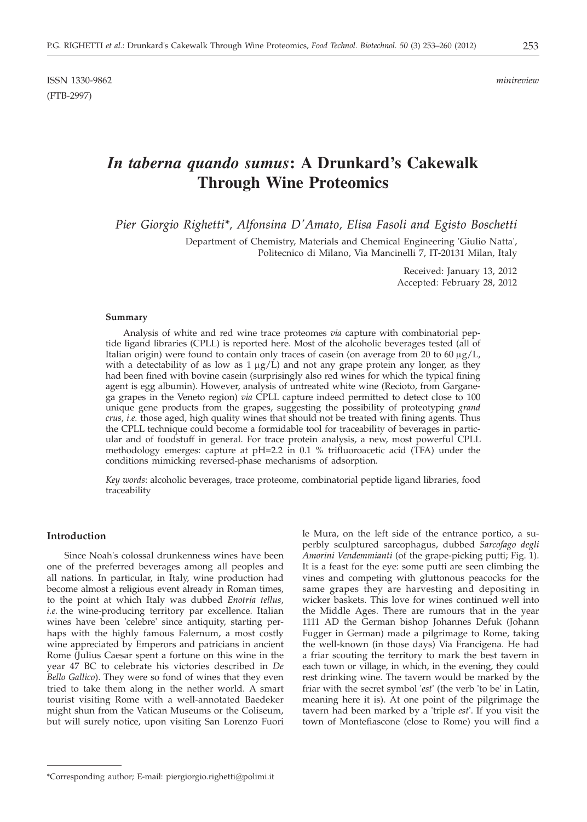ISSN 1330-9862 *minireview* (FTB-2997)

# *In taberna quando sumus***: A Drunkard's Cakewalk Through Wine Proteomics**

*Pier Giorgio Righetti\*, Alfonsina D'Amato, Elisa Fasoli and Egisto Boschetti*

Department of Chemistry, Materials and Chemical Engineering 'Giulio Natta', Politecnico di Milano, Via Mancinelli 7, IT-20131 Milan, Italy

> Received: January 13, 2012 Accepted: February 28, 2012

#### **Summary**

Analysis of white and red wine trace proteomes *via* capture with combinatorial peptide ligand libraries (CPLL) is reported here. Most of the alcoholic beverages tested (all of Italian origin) were found to contain only traces of casein (on average from 20 to 60  $\mu$ g/L, with a detectability of as low as  $1 \mu g/L$ ) and not any grape protein any longer, as they had been fined with bovine casein (surprisingly also red wines for which the typical fining agent is egg albumin). However, analysis of untreated white wine (Recioto, from Garganega grapes in the Veneto region) *via* CPLL capture indeed permitted to detect close to 100 unique gene products from the grapes, suggesting the possibility of proteotyping *grand crus*, *i.e.* those aged, high quality wines that should not be treated with fining agents. Thus the CPLL technique could become a formidable tool for traceability of beverages in particular and of foodstuff in general. For trace protein analysis, a new, most powerful CPLL methodology emerges: capture at pH=2.2 in 0.1 % trifluoroacetic acid (TFA) under the conditions mimicking reversed-phase mechanisms of adsorption.

*Key words*: alcoholic beverages, trace proteome, combinatorial peptide ligand libraries, food traceability

## **Introduction**

Since Noah's colossal drunkenness wines have been one of the preferred beverages among all peoples and all nations. In particular, in Italy, wine production had become almost a religious event already in Roman times, to the point at which Italy was dubbed *Enotria tellus*, *i.e.* the wine-producing territory par excellence. Italian wines have been 'celebre' since antiquity, starting perhaps with the highly famous Falernum, a most costly wine appreciated by Emperors and patricians in ancient Rome (Julius Caesar spent a fortune on this wine in the year 47 BC to celebrate his victories described in *De Bello Gallico*). They were so fond of wines that they even tried to take them along in the nether world. A smart tourist visiting Rome with a well-annotated Baedeker might shun from the Vatican Museums or the Coliseum, but will surely notice, upon visiting San Lorenzo Fuori le Mura, on the left side of the entrance portico, a superbly sculptured sarcophagus, dubbed *Sarcofago degli Amorini Vendemmianti* (of the grape-picking putti; Fig. 1). It is a feast for the eye: some putti are seen climbing the vines and competing with gluttonous peacocks for the same grapes they are harvesting and depositing in wicker baskets. This love for wines continued well into the Middle Ages. There are rumours that in the year 1111 AD the German bishop Johannes Defuk (Johann Fugger in German) made a pilgrimage to Rome, taking the well-known (in those days) Via Francigena. He had a friar scouting the territory to mark the best tavern in each town or village, in which, in the evening, they could rest drinking wine. The tavern would be marked by the friar with the secret symbol '*est*' (the verb 'to be' in Latin, meaning here it is). At one point of the pilgrimage the tavern had been marked by a 'triple *est*'. If you visit the town of Montefiascone (close to Rome) you will find a

<sup>\*</sup>Corresponding author; E-mail: piergiorgio.righetti@polimi.it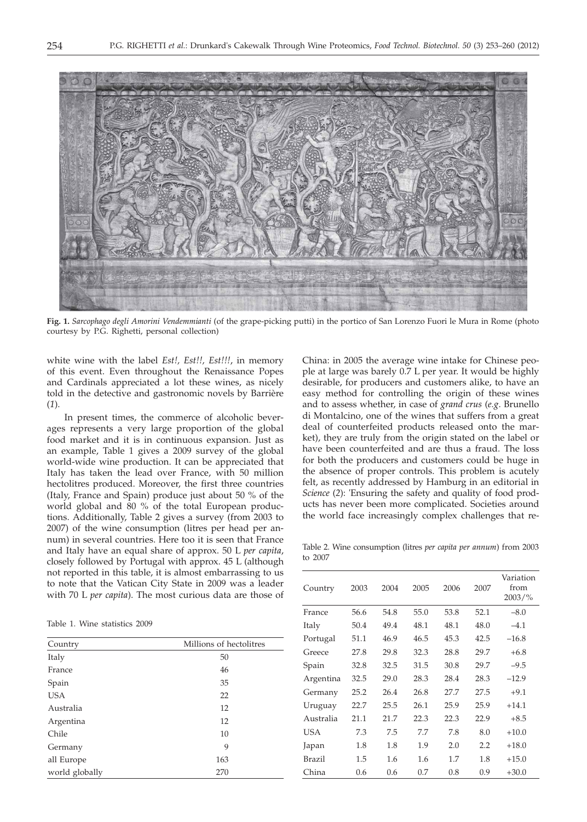

**Fig. 1.** *Sarcophago degli Amorini Vendemmianti* (of the grape-picking putti) in the portico of San Lorenzo Fuori le Mura in Rome (photo courtesy by P.G. Righetti, personal collection)

white wine with the label *Est!, Est!!, Est!!!*, in memory of this event. Even throughout the Renaissance Popes and Cardinals appreciated a lot these wines, as nicely told in the detective and gastronomic novels by Barrière (*1*).

In present times, the commerce of alcoholic beverages represents a very large proportion of the global food market and it is in continuous expansion. Just as an example, Table 1 gives a 2009 survey of the global world-wide wine production. It can be appreciated that Italy has taken the lead over France, with 50 million hectolitres produced. Moreover, the first three countries (Italy, France and Spain) produce just about 50 % of the world global and 80 % of the total European productions. Additionally, Table 2 gives a survey (from 2003 to 2007) of the wine consumption (litres per head per annum) in several countries. Here too it is seen that France and Italy have an equal share of approx. 50 L *per capita*, closely followed by Portugal with approx. 45 L (although not reported in this table, it is almost embarrassing to us to note that the Vatican City State in 2009 was a leader with 70 L *per capita*). The most curious data are those of

Table 1. Wine statistics 2009

| Country        | Millions of hectolitres |  |  |  |
|----------------|-------------------------|--|--|--|
| Italy          | 50                      |  |  |  |
| France         | 46                      |  |  |  |
| Spain          | 35                      |  |  |  |
| <b>USA</b>     | 22                      |  |  |  |
| Australia      | 12                      |  |  |  |
| Argentina      | 12                      |  |  |  |
| Chile          | 10                      |  |  |  |
| Germany        | 9                       |  |  |  |
| all Europe     | 163                     |  |  |  |
| world globally | 270                     |  |  |  |

China: in 2005 the average wine intake for Chinese people at large was barely 0.7 L per year. It would be highly desirable, for producers and customers alike, to have an easy method for controlling the origin of these wines and to assess whether, in case of *grand crus* (*e.g*. Brunello di Montalcino, one of the wines that suffers from a great deal of counterfeited products released onto the market), they are truly from the origin stated on the label or have been counterfeited and are thus a fraud. The loss for both the producers and customers could be huge in the absence of proper controls. This problem is acutely felt, as recently addressed by Hamburg in an editorial in *Science* (*2*): 'Ensuring the safety and quality of food products has never been more complicated. Societies around the world face increasingly complex challenges that re-

Table 2. Wine consumption (litres *per capita per annum*) from 2003 to 2007

| Country   | 2003 | 2004 | 2005 | 2006 | 2007 | Variation<br>from<br>$2003/\%$ |
|-----------|------|------|------|------|------|--------------------------------|
| France    | 56.6 | 54.8 | 55.0 | 53.8 | 52.1 | $-8.0$                         |
| Italy     | 50.4 | 49.4 | 48.1 | 48.1 | 48.0 | $-4.1$                         |
| Portugal  | 51.1 | 46.9 | 46.5 | 45.3 | 42.5 | $-16.8$                        |
| Greece    | 27.8 | 29.8 | 32.3 | 28.8 | 29.7 | $+6.8$                         |
| Spain     | 32.8 | 32.5 | 31.5 | 30.8 | 29.7 | $-9.5$                         |
| Argentina | 32.5 | 29.0 | 28.3 | 28.4 | 28.3 | $-12.9$                        |
| Germany   | 25.2 | 26.4 | 26.8 | 27.7 | 27.5 | $+9.1$                         |
| Uruguay   | 22.7 | 25.5 | 26.1 | 25.9 | 25.9 | $+14.1$                        |
| Australia | 21.1 | 21.7 | 22.3 | 22.3 | 22.9 | $+8.5$                         |
| USA       | 7.3  | 7.5  | 7.7  | 7.8  | 8.0  | $+10.0$                        |
| Japan     | 1.8  | 1.8  | 1.9  | 2.0  | 2.2  | $+18.0$                        |
| Brazil    | 1.5  | 1.6  | 1.6  | 1.7  | 1.8  | $+15.0$                        |
| China     | 0.6  | 0.6  | 0.7  | 0.8  | 0.9  | $+30.0$                        |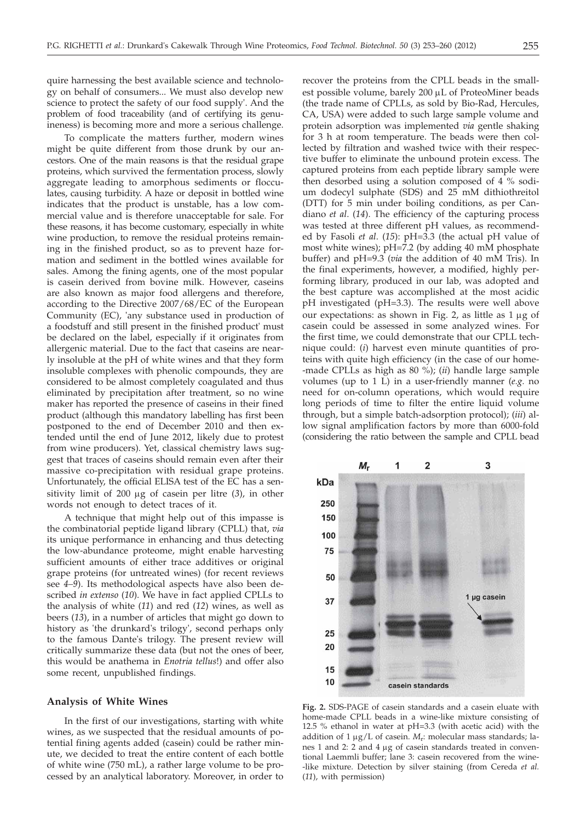quire harnessing the best available science and technology on behalf of consumers... We must also develop new science to protect the safety of our food supply'. And the problem of food traceability (and of certifying its genuineness) is becoming more and more a serious challenge.

To complicate the matters further, modern wines might be quite different from those drunk by our ancestors. One of the main reasons is that the residual grape proteins, which survived the fermentation process, slowly aggregate leading to amorphous sediments or flocculates, causing turbidity. A haze or deposit in bottled wine indicates that the product is unstable, has a low commercial value and is therefore unacceptable for sale. For these reasons, it has become customary, especially in white wine production, to remove the residual proteins remaining in the finished product, so as to prevent haze formation and sediment in the bottled wines available for sales. Among the fining agents, one of the most popular is casein derived from bovine milk. However, caseins are also known as major food allergens and therefore, according to the Directive 2007/68/EC of the European Community (EC), 'any substance used in production of a foodstuff and still present in the finished product' must be declared on the label, especially if it originates from allergenic material. Due to the fact that caseins are nearly insoluble at the pH of white wines and that they form insoluble complexes with phenolic compounds, they are considered to be almost completely coagulated and thus eliminated by precipitation after treatment, so no wine maker has reported the presence of caseins in their fined product (although this mandatory labelling has first been postponed to the end of December 2010 and then extended until the end of June 2012, likely due to protest from wine producers). Yet, classical chemistry laws suggest that traces of caseins should remain even after their massive co-precipitation with residual grape proteins. Unfortunately, the official ELISA test of the EC has a sensitivity limit of 200 mg of casein per litre (*3*), in other words not enough to detect traces of it.

A technique that might help out of this impasse is the combinatorial peptide ligand library (CPLL) that, *via* its unique performance in enhancing and thus detecting the low-abundance proteome, might enable harvesting sufficient amounts of either trace additives or original grape proteins (for untreated wines) (for recent reviews see *4–9*). Its methodological aspects have also been described *in extenso* (*10*). We have in fact applied CPLLs to the analysis of white (*11*) and red (*12*) wines, as well as beers (*13*), in a number of articles that might go down to history as 'the drunkard's trilogy', second perhaps only to the famous Dante's trilogy. The present review will critically summarize these data (but not the ones of beer, this would be anathema in *Enotria tellus*!) and offer also some recent, unpublished findings.

## **Analysis of White Wines**

In the first of our investigations, starting with white wines, as we suspected that the residual amounts of potential fining agents added (casein) could be rather minute, we decided to treat the entire content of each bottle of white wine (750 mL), a rather large volume to be processed by an analytical laboratory. Moreover, in order to

recover the proteins from the CPLL beads in the smallest possible volume, barely 200 µL of ProteoMiner beads (the trade name of CPLLs, as sold by Bio-Rad, Hercules, CA, USA) were added to such large sample volume and protein adsorption was implemented *via* gentle shaking for 3 h at room temperature. The beads were then collected by filtration and washed twice with their respective buffer to eliminate the unbound protein excess. The captured proteins from each peptide library sample were then desorbed using a solution composed of 4 % sodium dodecyl sulphate (SDS) and 25 mM dithiothreitol (DTT) for 5 min under boiling conditions, as per Candiano *et al*. (*14*). The efficiency of the capturing process was tested at three different pH values, as recommended by Fasoli *et al*. (*15*): pH=3.3 (the actual pH value of most white wines); pH=7.2 (by adding 40 mM phosphate buffer) and pH=9.3 (*via* the addition of 40 mM Tris). In the final experiments, however, a modified, highly performing library, produced in our lab, was adopted and the best capture was accomplished at the most acidic pH investigated (pH=3.3). The results were well above our expectations: as shown in Fig. 2, as little as  $1 \mu$ g of casein could be assessed in some analyzed wines. For the first time, we could demonstrate that our CPLL technique could: (*i*) harvest even minute quantities of proteins with quite high efficiency (in the case of our home- -made CPLLs as high as 80 %); (*ii*) handle large sample volumes (up to 1 L) in a user-friendly manner (*e.g.* no need for on-column operations, which would require long periods of time to filter the entire liquid volume through, but a simple batch-adsorption protocol); (*iii*) allow signal amplification factors by more than 6000-fold (considering the ratio between the sample and CPLL bead



**Fig. 2.** SDS-PAGE of casein standards and a casein eluate with home-made CPLL beads in a wine-like mixture consisting of 12.5 % ethanol in water at pH=3.3 (with acetic acid) with the addition of  $1 \mu g/L$  of casein.  $M_r$ : molecular mass standards; lanes 1 and 2: 2 and 4 µg of casein standards treated in conventional Laemmli buffer; lane 3: casein recovered from the wine- -like mixture. Detection by silver staining (from Cereda *et al.* (*11*), with permission)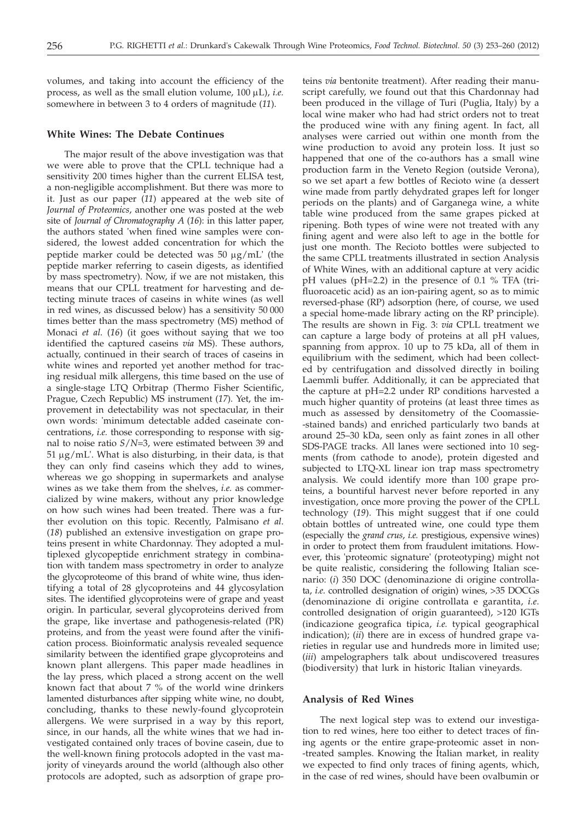volumes, and taking into account the efficiency of the process, as well as the small elution volume, 100 mL), *i.e.* somewhere in between 3 to 4 orders of magnitude (*11*).

## **White Wines: The Debate Continues**

The major result of the above investigation was that we were able to prove that the CPLL technique had a sensitivity 200 times higher than the current ELISA test, a non-negligible accomplishment. But there was more to it. Just as our paper (*11*) appeared at the web site of *Journal of Proteomics*, another one was posted at the web site of *Journal of Chromatography A* (*16*): in this latter paper, the authors stated 'when fined wine samples were considered, the lowest added concentration for which the peptide marker could be detected was  $50 \mu g/mL$  (the peptide marker referring to casein digests, as identified by mass spectrometry). Now, if we are not mistaken, this means that our CPLL treatment for harvesting and detecting minute traces of caseins in white wines (as well in red wines, as discussed below) has a sensitivity 50 000 times better than the mass spectrometry (MS) method of Monaci *et al*. (*16*) (it goes without saying that we too identified the captured caseins *via* MS). These authors, actually, continued in their search of traces of caseins in white wines and reported yet another method for tracing residual milk allergens, this time based on the use of a single-stage LTQ Orbitrap (Thermo Fisher Scientific, Prague, Czech Republic) MS instrument (*17*). Yet, the improvement in detectability was not spectacular, in their own words: 'minimum detectable added caseinate concentrations, *i.e.* those corresponding to response with signal to noise ratio *S*/*N*=3, were estimated between 39 and  $51 \mu g/mL'$ . What is also disturbing, in their data, is that they can only find caseins which they add to wines, whereas we go shopping in supermarkets and analyse wines as we take them from the shelves, *i.e.* as commercialized by wine makers, without any prior knowledge on how such wines had been treated. There was a further evolution on this topic. Recently, Palmisano *et al*. (*18*) published an extensive investigation on grape proteins present in white Chardonnay. They adopted a multiplexed glycopeptide enrichment strategy in combination with tandem mass spectrometry in order to analyze the glycoproteome of this brand of white wine, thus identifying a total of 28 glycoproteins and 44 glycosylation sites. The identified glycoproteins were of grape and yeast origin. In particular, several glycoproteins derived from the grape, like invertase and pathogenesis-related (PR) proteins, and from the yeast were found after the vinification process. Bioinformatic analysis revealed sequence similarity between the identified grape glycoproteins and known plant allergens. This paper made headlines in the lay press, which placed a strong accent on the well known fact that about 7 % of the world wine drinkers lamented disturbances after sipping white wine, no doubt, concluding, thanks to these newly-found glycoprotein allergens. We were surprised in a way by this report, since, in our hands, all the white wines that we had investigated contained only traces of bovine casein, due to the well-known fining protocols adopted in the vast majority of vineyards around the world (although also other protocols are adopted, such as adsorption of grape pro-

teins *via* bentonite treatment). After reading their manuscript carefully, we found out that this Chardonnay had been produced in the village of Turi (Puglia, Italy) by a local wine maker who had had strict orders not to treat the produced wine with any fining agent. In fact, all analyses were carried out within one month from the wine production to avoid any protein loss. It just so happened that one of the co-authors has a small wine production farm in the Veneto Region (outside Verona), so we set apart a few bottles of Recioto wine (a dessert wine made from partly dehydrated grapes left for longer periods on the plants) and of Garganega wine, a white table wine produced from the same grapes picked at ripening. Both types of wine were not treated with any fining agent and were also left to age in the bottle for just one month. The Recioto bottles were subjected to the same CPLL treatments illustrated in section Analysis of White Wines, with an additional capture at very acidic pH values (pH=2.2) in the presence of 0.1 % TFA (trifluoroacetic acid) as an ion-pairing agent, so as to mimic reversed-phase (RP) adsorption (here, of course, we used a special home-made library acting on the RP principle). The results are shown in Fig. 3: *via* CPLL treatment we can capture a large body of proteins at all pH values, spanning from approx. 10 up to 75 kDa, all of them in equilibrium with the sediment, which had been collected by centrifugation and dissolved directly in boiling Laemmli buffer. Additionally, it can be appreciated that the capture at pH=2.2 under RP conditions harvested a much higher quantity of proteins (at least three times as much as assessed by densitometry of the Coomassie- -stained bands) and enriched particularly two bands at around 25–30 kDa, seen only as faint zones in all other SDS-PAGE tracks. All lanes were sectioned into 10 segments (from cathode to anode), protein digested and subjected to LTQ-XL linear ion trap mass spectrometry analysis. We could identify more than 100 grape proteins, a bountiful harvest never before reported in any investigation, once more proving the power of the CPLL technology (*19*). This might suggest that if one could obtain bottles of untreated wine, one could type them (especially the *grand crus*, *i.e.* prestigious, expensive wines) in order to protect them from fraudulent imitations. However, this 'proteomic signature' (proteotyping) might not be quite realistic, considering the following Italian scenario: (*i*) 350 DOC (denominazione di origine controllata, *i.e*. controlled designation of origin) wines, >35 DOCGs (denominazione di origine controllata e garantita, *i.e*. controlled designation of origin guaranteed), >120 IGTs (indicazione geografica tipica, *i.e.* typical geographical indication); (*ii*) there are in excess of hundred grape varieties in regular use and hundreds more in limited use; (*iii*) ampelographers talk about undiscovered treasures (biodiversity) that lurk in historic Italian vineyards.

# **Analysis of Red Wines**

The next logical step was to extend our investigation to red wines, here too either to detect traces of fining agents or the entire grape-proteomic asset in non- -treated samples. Knowing the Italian market, in reality we expected to find only traces of fining agents, which, in the case of red wines, should have been ovalbumin or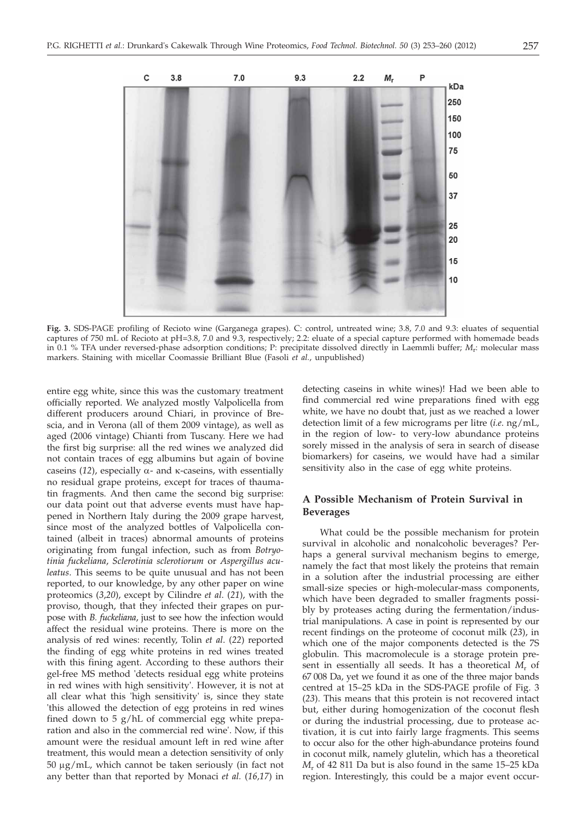

**Fig. 3.** SDS-PAGE profiling of Recioto wine (Garganega grapes). C: control, untreated wine; 3.8, 7.0 and 9.3: eluates of sequential captures of 750 mL of Recioto at pH=3.8, 7.0 and 9.3, respectively; 2.2: eluate of a special capture performed with homemade beads in 0.1 % TFA under reversed-phase adsorption conditions; P: precipitate dissolved directly in Laemmli buffer; *M*r: molecular mass markers. Staining with micellar Coomassie Brilliant Blue (Fasoli *et al.*, unpublished)

entire egg white, since this was the customary treatment officially reported. We analyzed mostly Valpolicella from different producers around Chiari, in province of Brescia, and in Verona (all of them 2009 vintage), as well as aged (2006 vintage) Chianti from Tuscany. Here we had the first big surprise: all the red wines we analyzed did not contain traces of egg albumins but again of bovine caseins (12), especially  $\alpha$ - and  $\kappa$ -caseins, with essentially no residual grape proteins, except for traces of thaumatin fragments. And then came the second big surprise: our data point out that adverse events must have happened in Northern Italy during the 2009 grape harvest, since most of the analyzed bottles of Valpolicella contained (albeit in traces) abnormal amounts of proteins originating from fungal infection, such as from *Botryotinia fuckeliana*, *Sclerotinia sclerotiorum* or *Aspergillus aculeatus*. This seems to be quite unusual and has not been reported, to our knowledge, by any other paper on wine proteomics (*3*,*20*), except by Cilindre *et al*. (*21*), with the proviso, though, that they infected their grapes on purpose with *B. fuckeliana*, just to see how the infection would affect the residual wine proteins. There is more on the analysis of red wines: recently, Tolin *et al*. (*22*) reported the finding of egg white proteins in red wines treated with this fining agent. According to these authors their gel-free MS method 'detects residual egg white proteins in red wines with high sensitivity'. However, it is not at all clear what this 'high sensitivity' is, since they state 'this allowed the detection of egg proteins in red wines fined down to 5 g/hL of commercial egg white preparation and also in the commercial red wine'. Now, if this amount were the residual amount left in red wine after treatment, this would mean a detection sensitivity of only  $50 \mu g/mL$ , which cannot be taken seriously (in fact not any better than that reported by Monaci *et al.* (*16,17*) in detecting caseins in white wines)! Had we been able to find commercial red wine preparations fined with egg white, we have no doubt that, just as we reached a lower detection limit of a few micrograms per litre (*i.e*. ng/mL, in the region of low- to very-low abundance proteins sorely missed in the analysis of sera in search of disease biomarkers) for caseins, we would have had a similar sensitivity also in the case of egg white proteins.

# **A Possible Mechanism of Protein Survival in Beverages**

What could be the possible mechanism for protein survival in alcoholic and nonalcoholic beverages? Perhaps a general survival mechanism begins to emerge, namely the fact that most likely the proteins that remain in a solution after the industrial processing are either small-size species or high-molecular-mass components, which have been degraded to smaller fragments possibly by proteases acting during the fermentation/industrial manipulations. A case in point is represented by our recent findings on the proteome of coconut milk (*23*), in which one of the major components detected is the 7S globulin. This macromolecule is a storage protein present in essentially all seeds. It has a theoretical  $M_r$  of 67 008 Da, yet we found it as one of the three major bands centred at 15–25 kDa in the SDS-PAGE profile of Fig. 3 (*23*). This means that this protein is not recovered intact but, either during homogenization of the coconut flesh or during the industrial processing, due to protease activation, it is cut into fairly large fragments. This seems to occur also for the other high-abundance proteins found in coconut milk, namely glutelin, which has a theoretical *M*<sup>r</sup> of 42 811 Da but is also found in the same 15–25 kDa region. Interestingly, this could be a major event occur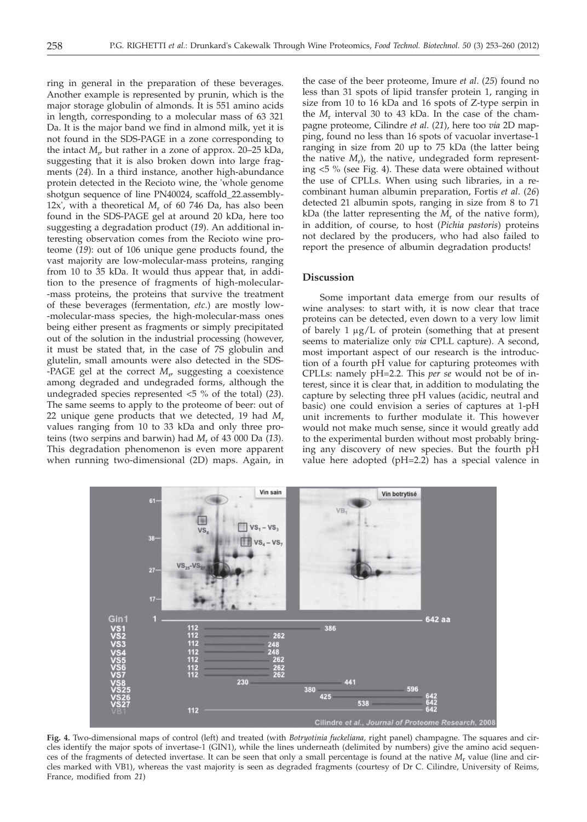ring in general in the preparation of these beverages. Another example is represented by prunin, which is the major storage globulin of almonds. It is 551 amino acids in length, corresponding to a molecular mass of 63 321 Da. It is the major band we find in almond milk, yet it is not found in the SDS-PAGE in a zone corresponding to the intact  $M_{r}$ , but rather in a zone of approx. 20–25 kDa, suggesting that it is also broken down into large fragments (*24*). In a third instance, another high-abundance protein detected in the Recioto wine, the 'whole genome shotgun sequence of line PN40024, scaffold\_22.assembly-12x', with a theoretical *M*<sup>r</sup> of 60 746 Da, has also been found in the SDS-PAGE gel at around 20 kDa, here too suggesting a degradation product (*19*). An additional interesting observation comes from the Recioto wine proteome (*19*): out of 106 unique gene products found, the vast majority are low-molecular-mass proteins, ranging from 10 to 35 kDa. It would thus appear that, in addition to the presence of fragments of high-molecular- -mass proteins, the proteins that survive the treatment of these beverages (fermentation, *etc*.) are mostly low- -molecular-mass species, the high-molecular-mass ones being either present as fragments or simply precipitated out of the solution in the industrial processing (however, it must be stated that, in the case of 7S globulin and glutelin, small amounts were also detected in the SDS- -PAGE gel at the correct *M*<sup>r</sup> , suggesting a coexistence among degraded and undegraded forms, although the undegraded species represented <5 % of the total) (*23*). The same seems to apply to the proteome of beer: out of 22 unique gene products that we detected, 19 had *M*<sup>r</sup> values ranging from 10 to 33 kDa and only three proteins (two serpins and barwin) had *M*<sup>r</sup> of 43 000 Da (*13*). This degradation phenomenon is even more apparent when running two-dimensional (2D) maps. Again, in

the case of the beer proteome, Imure *et al*. (*25*) found no less than 31 spots of lipid transfer protein 1, ranging in size from 10 to 16 kDa and 16 spots of Z-type serpin in the  $M_r$  interval 30 to 43 kDa. In the case of the champagne proteome, Cilindre *et al*. (*21*), here too *via* 2D mapping, found no less than 16 spots of vacuolar invertase-1 ranging in size from 20 up to 75 kDa (the latter being the native *M<sub>r</sub>*), the native, undegraded form representing <5 % (see Fig. 4). These data were obtained without the use of CPLLs. When using such libraries, in a recombinant human albumin preparation, Fortis *et al*. (*26*) detected 21 albumin spots, ranging in size from 8 to 71 kDa (the latter representing the  $\tilde{M_r}$  of the native form), in addition, of course, to host (*Pichia pastoris*) proteins not declared by the producers, who had also failed to report the presence of albumin degradation products!

# **Discussion**

Some important data emerge from our results of wine analyses: to start with, it is now clear that trace proteins can be detected, even down to a very low limit of barely  $1 \mu g/L$  of protein (something that at present seems to materialize only *via* CPLL capture). A second, most important aspect of our research is the introduction of a fourth pH value for capturing proteomes with CPLLs: namely pH=2.2. This *per se* would not be of interest, since it is clear that, in addition to modulating the capture by selecting three pH values (acidic, neutral and basic) one could envision a series of captures at 1-pH unit increments to further modulate it. This however would not make much sense, since it would greatly add to the experimental burden without most probably bringing any discovery of new species. But the fourth pH value here adopted (pH=2.2) has a special valence in



**Fig. 4.** Two-dimensional maps of control (left) and treated (with *Botryotinia fuckeliana,* right panel) champagne. The squares and circles identify the major spots of invertase-1 (GIN1), while the lines underneath (delimited by numbers) give the amino acid sequences of the fragments of detected invertase. It can be seen that only a small percentage is found at the native *M*<sup>r</sup> value (line and circles marked with VB1), whereas the vast majority is seen as degraded fragments (courtesy of Dr C. Cilindre, University of Reims, France, modified from *21*)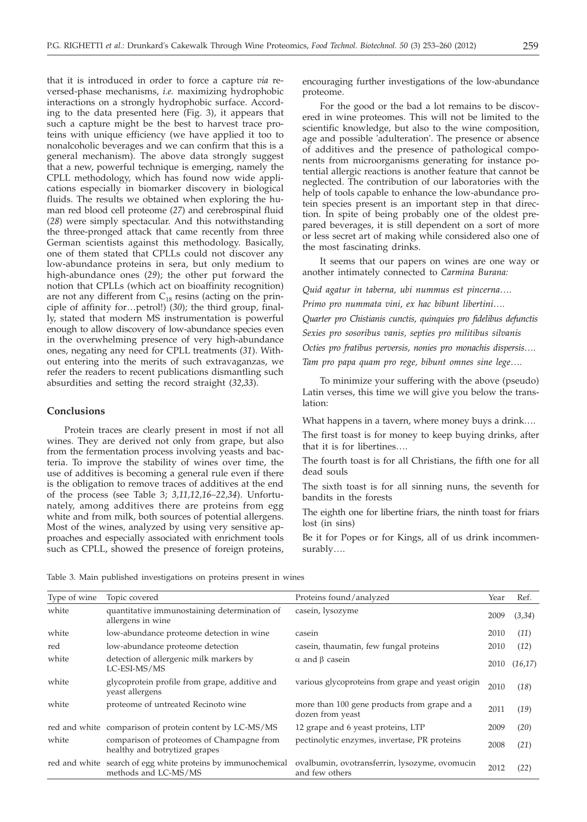that it is introduced in order to force a capture *via* reversed-phase mechanisms, *i.e.* maximizing hydrophobic interactions on a strongly hydrophobic surface. According to the data presented here (Fig. 3), it appears that such a capture might be the best to harvest trace proteins with unique efficiency (we have applied it too to nonalcoholic beverages and we can confirm that this is a general mechanism). The above data strongly suggest that a new, powerful technique is emerging, namely the CPLL methodology, which has found now wide applications especially in biomarker discovery in biological fluids. The results we obtained when exploring the human red blood cell proteome (*27*) and cerebrospinal fluid (*28*) were simply spectacular. And this notwithstanding the three-pronged attack that came recently from three German scientists against this methodology. Basically, one of them stated that CPLLs could not discover any low-abundance proteins in sera, but only medium to high-abundance ones (*29*); the other put forward the notion that CPLLs (which act on bioaffinity recognition) are not any different from  $C_{18}$  resins (acting on the principle of affinity for…petrol!) (*30*); the third group, finally, stated that modern MS instrumentation is powerful enough to allow discovery of low-abundance species even in the overwhelming presence of very high-abundance ones, negating any need for CPLL treatments (*31*). Without entering into the merits of such extravaganzas, we refer the readers to recent publications dismantling such absurdities and setting the record straight (*32*,*33*).

### **Conclusions**

Protein traces are clearly present in most if not all wines. They are derived not only from grape, but also from the fermentation process involving yeasts and bacteria. To improve the stability of wines over time, the use of additives is becoming a general rule even if there is the obligation to remove traces of additives at the end of the process (see Table 3; *3,11,12,16–22,34*). Unfortunately, among additives there are proteins from egg white and from milk, both sources of potential allergens. Most of the wines, analyzed by using very sensitive approaches and especially associated with enrichment tools such as CPLL, showed the presence of foreign proteins,

encouraging further investigations of the low-abundance proteome.

For the good or the bad a lot remains to be discovered in wine proteomes. This will not be limited to the scientific knowledge, but also to the wine composition, age and possible 'adulteration'. The presence or absence of additives and the presence of pathological components from microorganisms generating for instance potential allergic reactions is another feature that cannot be neglected. The contribution of our laboratories with the help of tools capable to enhance the low-abundance protein species present is an important step in that direction. In spite of being probably one of the oldest prepared beverages, it is still dependent on a sort of more or less secret art of making while considered also one of the most fascinating drinks.

It seems that our papers on wines are one way or another intimately connected to *Carmina Burana:*

*Quid agatur in taberna, ubi nummus est pincerna…. Primo pro nummata vini, ex hac bibunt libertini…. Quarter pro Chistianis cunctis, quinquies pro fidelibus defunctis Sexies pro sosoribus vanis, septies pro militibus silvanis Octies pro fratibus perversis, nonies pro monachis dispersis…. Tam pro papa quam pro rege, bibunt omnes sine lege….*

To minimize your suffering with the above (pseudo) Latin verses, this time we will give you below the translation:

What happens in a tavern, where money buys a drink….

The first toast is for money to keep buying drinks, after that it is for libertines….

The fourth toast is for all Christians, the fifth one for all dead souls

The sixth toast is for all sinning nuns, the seventh for bandits in the forests

The eighth one for libertine friars, the ninth toast for friars lost (in sins)

Be it for Popes or for Kings, all of us drink incommensurably….

Table 3. Main published investigations on proteins present in wines

| Type of wine | Topic covered                                                                        | Proteins found/analyzed                                          | Year | Ref.    |
|--------------|--------------------------------------------------------------------------------------|------------------------------------------------------------------|------|---------|
| white        | quantitative immunostaining determination of<br>allergens in wine                    | casein, lysozyme                                                 | 2009 | (3,34)  |
| white        | low-abundance proteome detection in wine                                             | casein                                                           | 2010 | (11)    |
| red          | low-abundance proteome detection                                                     | casein, thaumatin, few fungal proteins                           | 2010 | (12)    |
| white        | detection of allergenic milk markers by<br>LC-ESI-MS/MS                              | $\alpha$ and $\beta$ casein                                      | 2010 | (16,17) |
| white        | glycoprotein profile from grape, additive and<br>yeast allergens                     | various glycoproteins from grape and yeast origin                | 2010 | (18)    |
| white        | proteome of untreated Recinoto wine                                                  | more than 100 gene products from grape and a<br>dozen from yeast | 2011 | (19)    |
|              | red and white comparison of protein content by LC-MS/MS                              | 12 grape and 6 yeast proteins, LTP                               | 2009 | (20)    |
| white        | comparison of proteomes of Champagne from<br>healthy and botrytized grapes           | pectinolytic enzymes, invertase, PR proteins                     | 2008 | (21)    |
|              | red and white search of egg white proteins by immunochemical<br>methods and LC-MS/MS | ovalbumin, ovotransferrin, lysozyme, ovomucin<br>and few others  | 2012 | (22)    |